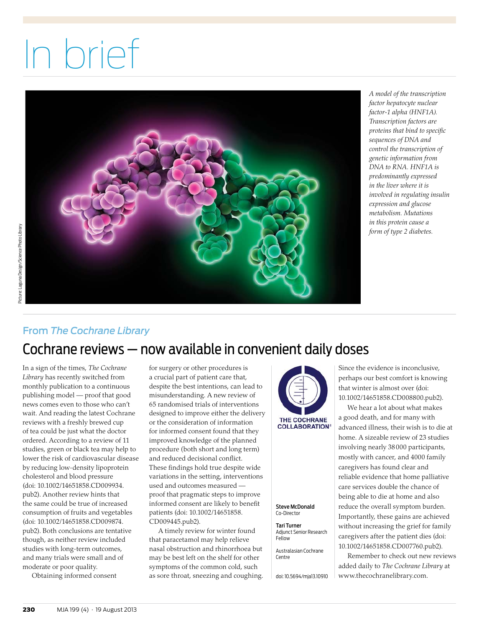# In brief



*A model of the transcription factor hepatocyte nuclear factor-1 alpha (HNF1A). Transcription factors are proteins that bind to specific sequences of DNA and control the transcription of genetic information from DNA to RNA. HNF1A is predominantly expressed in the liver where it is involved in regulating insulin expression and glucose metabolism. Mutations in this protein cause a form of type 2 diabetes.*

# Picture: Laguna Design/Science Photo Library Picture: Laguna Design/Science Photo Library

# From *The Cochrane Library*

# Cochrane reviews — now available in convenient daily doses

In a sign of the times, *The Cochrane Library* has recently switched from monthly publication to a continuous publishing model — proof that good news comes even to those who can't wait. And reading the latest Cochrane reviews with a freshly brewed cup of tea could be just what the doctor ordered. According to a review of 11 studies, green or black tea may help to lower the risk of cardiovascular disease by reducing low-density lipoprotein cholesterol and blood pressure (doi: 10.1002/14651858.CD009934. pub2). Another review hints that the same could be true of increased consumption of fruits and vegetables (doi: 10.1002/14651858.CD009874. pub2). Both conclusions are tentative though, as neither review included studies with long-term outcomes, and many trials were small and of moderate or poor quality.

Obtaining informed consent

for surgery or other procedures is a crucial part of patient care that, despite the best intentions, can lead to misunderstanding. A new review of 65 randomised trials of interventions designed to improve either the delivery or the consideration of information for informed consent found that they improved knowledge of the planned procedure (both short and long term) and reduced decisional conflict. These findings hold true despite wide variations in the setting, interventions used and outcomes measured proof that pragmatic steps to improve informed consent are likely to benefit patients (doi: 10.1002/14651858. CD009445.pub2).

A timely review for winter found that paracetamol may help relieve nasal obstruction and rhinorrhoea but may be best left on the shelf for other symptoms of the common cold, such as sore throat, sneezing and coughing.



#### Steve McDonald Co-Director

Tari Turner Adjunct Senior Research Fellow

Australasian Cochrane Centre

doi: 10.5694/mja13.10910

Since the evidence is inconclusive, perhaps our best comfort is knowing that winter is almost over (doi: 10.1002/14651858.CD008800.pub2).

We hear a lot about what makes a good death, and for many with advanced illness, their wish is to die at home. A sizeable review of 23 studies involving nearly 38 000 participants, mostly with cancer, and 4000 family caregivers has found clear and reliable evidence that home palliative care services double the chance of being able to die at home and also reduce the overall symptom burden. Importantly, these gains are achieved without increasing the grief for family caregivers after the patient dies (doi: 10.1002/14651858.CD007760.pub2).

Remember to check out new reviews added daily to *The Cochrane Library* at www.thecochranelibrary.com.